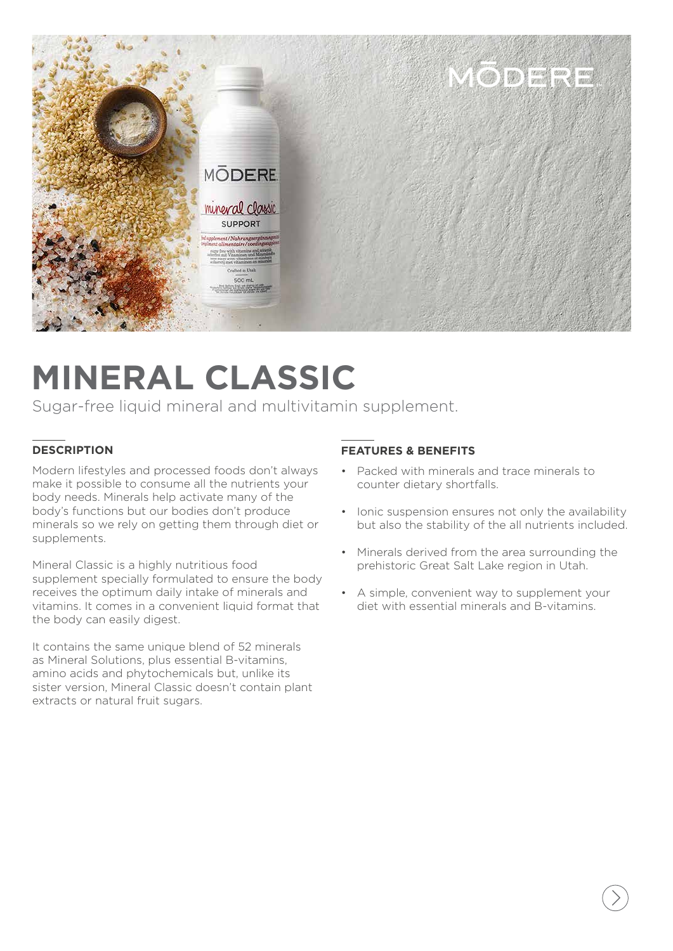

## **MINERAL CLASSIC**

Sugar-free liquid mineral and multivitamin supplement.

### **DESCRIPTION**

Modern lifestyles and processed foods don't always make it possible to consume all the nutrients your body needs. Minerals help activate many of the body's functions but our bodies don't produce minerals so we rely on getting them through diet or supplements.

Mineral Classic is a highly nutritious food supplement specially formulated to ensure the body receives the optimum daily intake of minerals and vitamins. It comes in a convenient liquid format that the body can easily digest.

It contains the same unique blend of 52 minerals as Mineral Solutions, plus essential B-vitamins, amino acids and phytochemicals but, unlike its sister version, Mineral Classic doesn't contain plant extracts or natural fruit sugars.

#### **FEATURES & BENEFITS**

- Packed with minerals and trace minerals to counter dietary shortfalls.
- Ionic suspension ensures not only the availability but also the stability of the all nutrients included.
- Minerals derived from the area surrounding the prehistoric Great Salt Lake region in Utah.
- A simple, convenient way to supplement your diet with essential minerals and B-vitamins.